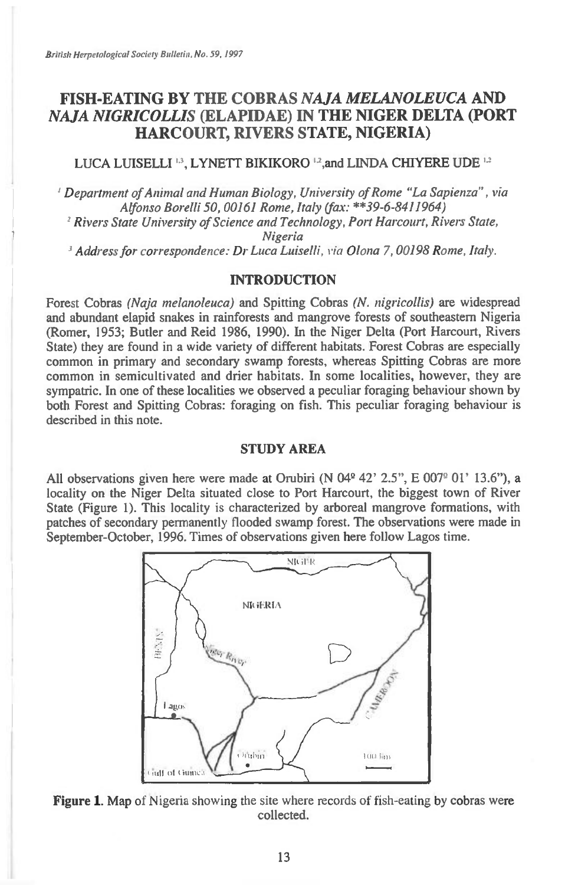# **FISH-EATING BY THE COBRAS** *NAJA MELANOLEUCA* **AND**  *NAJA NIGRICOLLIS* **(ELAPIDAE) IN THE NIGER DELTA (PORT HARCOURT, RIVERS STATE, NIGERIA)**

## LUCA LUISELLI <sup>13</sup>, LYNETT BIKIKORO <sup>12</sup>, and LINDA CHIYERE UDE <sup>1,2</sup>

*Department of Animal and Human Biology, University of Rome "La Sapienza" , via Alfonso Borelli 50, 00161 Rome, Italy (fax: "39-6-8411964)* 

*Rivers State University of Science and Technology, Port Harcourt, Rivers State, Nigeria* 

*Address for correspondence: Dr Luca Luiselli, via Olona 7, 00198 Rome, Italy.* 

### **INTRODUCTION**

Forest Cobras *(Naja melanoleuca)* and Spitting Cobras *(N. nigricollis)* are widespread and abundant elapid snakes in rainforests and mangrove forests of southeastern Nigeria (Romer, 1953; Butler and Reid 1986, 1990). In the Niger Delta (Port Harcourt, Rivers State) they are found in a wide variety of different habitats. Forest Cobras are especially common in primary and secondary swamp forests, whereas Spitting Cobras are more common in semicultivated and drier habitats. In some localities, however, they are sympatric. In one of these localities we observed a peculiar foraging behaviour shown by both Forest and Spitting Cobras: foraging on fish. This peculiar foraging behaviour is described in this note.

# **STUDY AREA**

All observations given here were made at Orubiri (N  $04^{\circ}$  42' 2.5", E  $007^{\circ}$  01' 13.6"), a locality on the Niger Delta situated close to Port Harcourt, the biggest town of River State (Figure 1). This locality is characterized by arboreal mangrove formations, with patches of secondary permanently flooded swamp forest. The observations were made in September-October, 1996. Times of observations given here follow Lagos time.



**Figure 1. Map** of Nigeria showing the site where records of fish-eating by cobras were collected.